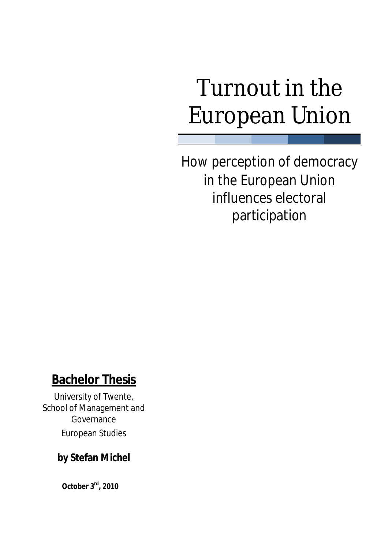# Turnout in the European Union

How perception of democracy in the European Union influences electoral participation

# **Bachelor Thesis**

University of Twente, School of Management and Governance European Studies

# **by Stefan Michel**

 **October 3 rd, 2010**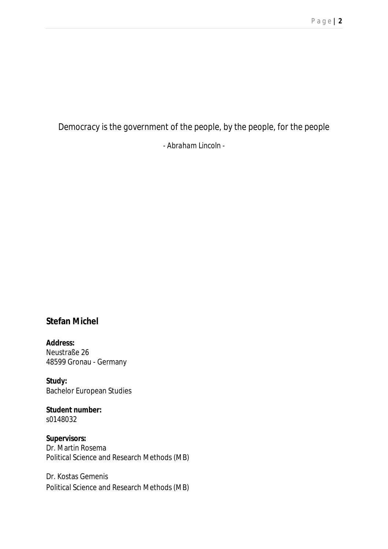# *Democracy is the government of the people, by the people, for the people - Abraham Lincoln -*

### **Stefan Michel**

**Address:**  Neustraße 26 48599 Gronau - Germany

**Study:**  Bachelor European Studies

**Student number:**  s0148032

**Supervisors:**  Dr. Martin Rosema Political Science and Research Methods (MB)

Dr. Kostas Gemenis Political Science and Research Methods (MB)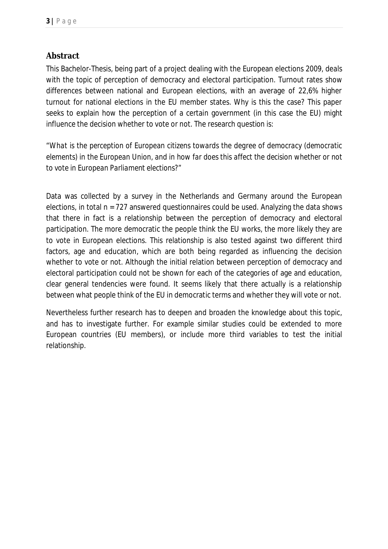### **Abstract**

This Bachelor-Thesis, being part of a project dealing with the European elections 2009, deals with the topic of perception of democracy and electoral participation. Turnout rates show differences between national and European elections, with an average of 22,6% higher turnout for national elections in the EU member states. Why is this the case? This paper seeks to explain how the perception of a certain government (in this case the EU) might influence the decision whether to vote or not. The research question is:

"*What is the perception of European citizens towards the degree of democracy (democratic elements) in the European Union, and in how far does this affect the decision whether or not to vote in European Parliament elections?"*

Data was collected by a survey in the Netherlands and Germany around the European elections, in total n = 727 answered questionnaires could be used. Analyzing the data shows that there in fact is a relationship between the perception of democracy and electoral participation. The more democratic the people think the EU works, the more likely they are to vote in European elections. This relationship is also tested against two different third factors, age and education, which are both being regarded as influencing the decision whether to vote or not. Although the initial relation between perception of democracy and electoral participation could not be shown for each of the categories of age and education, clear general tendencies were found. It seems likely that there actually is a relationship between what people think of the EU in democratic terms and whether they will vote or not.

Nevertheless further research has to deepen and broaden the knowledge about this topic, and has to investigate further. For example similar studies could be extended to more European countries (EU members), or include more third variables to test the initial relationship.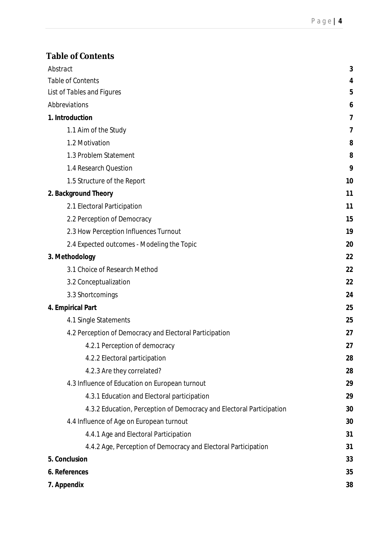| Abstract                                                             | 3  |
|----------------------------------------------------------------------|----|
| Table of Contents                                                    | 4  |
| <b>List of Tables and Figures</b>                                    | 5  |
| Abbreviations                                                        | 6  |
| 1. Introduction                                                      | 7  |
| 1.1 Aim of the Study                                                 | 7  |
| 1.2 Motivation                                                       | 8  |
| 1.3 Problem Statement                                                | 8  |
| 1.4 Research Question                                                | 9  |
| 1.5 Structure of the Report                                          | 10 |
| 2. Background Theory                                                 | 11 |
| 2.1 Electoral Participation                                          | 11 |
| 2.2 Perception of Democracy                                          | 15 |
| 2.3 How Perception Influences Turnout                                | 19 |
| 2.4 Expected outcomes - Modeling the Topic                           | 20 |
| 3. Methodology                                                       | 22 |
| 3.1 Choice of Research Method                                        | 22 |
| 3.2 Conceptualization                                                | 22 |
| 3.3 Shortcomings                                                     | 24 |
| 4. Empirical Part                                                    | 25 |
| 4.1 Single Statements                                                | 25 |
| 4.2 Perception of Democracy and Electoral Participation              | 27 |
| 4.2.1 Perception of democracy                                        | 27 |
| 4.2.2 Electoral participation                                        | 28 |
| 4.2.3 Are they correlated?                                           | 28 |
| 4.3 Influence of Education on European turnout                       | 29 |
| 4.3.1 Education and Electoral participation                          | 29 |
| 4.3.2 Education, Perception of Democracy and Electoral Participation | 30 |
| 4.4 Influence of Age on European turnout                             | 30 |
| 4.4.1 Age and Electoral Participation                                | 31 |
| 4.4.2 Age, Perception of Democracy and Electoral Participation       | 31 |
| 5. Conclusion                                                        | 33 |
| 6. References                                                        | 35 |
| 7. Appendix                                                          | 38 |
|                                                                      |    |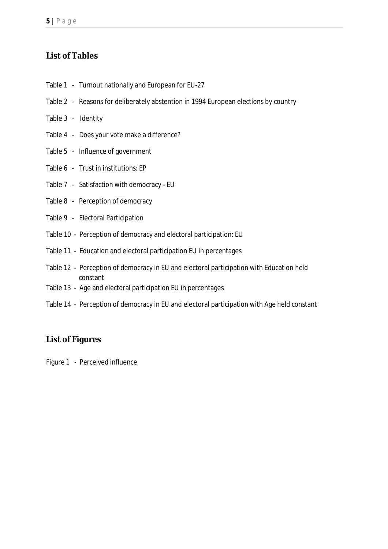### **List of Tables**

- Table 1 Turnout nationally and European for EU-27
- Table 2 Reasons for deliberately abstention in 1994 European elections by country
- Table 3 Identity
- Table 4 Does your vote make a difference?
- Table 5 Influence of government
- Table 6 Trust in institutions: EP
- Table 7 Satisfaction with democracy EU
- Table 8 Perception of democracy
- Table 9 Electoral Participation
- Table 10 Perception of democracy and electoral participation: EU
- Table 11 Education and electoral participation EU in percentages
- Table 12 Perception of democracy in EU and electoral participation with Education held constant
- Table 13 Age and electoral participation EU in percentages
- Table 14 Perception of democracy in EU and electoral participation with Age held constant

### **List of Figures**

Figure 1 - Perceived influence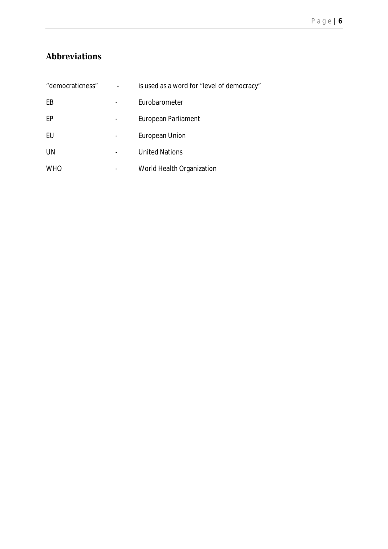# **Abbreviations**

| "democraticness" | is used as a word for "level of democracy" |
|------------------|--------------------------------------------|
| EB               | Eurobarometer                              |
| EP               | European Parliament                        |
| EU               | <b>European Union</b>                      |
| UN               | <b>United Nations</b>                      |
| <b>WHO</b>       | World Health Organization                  |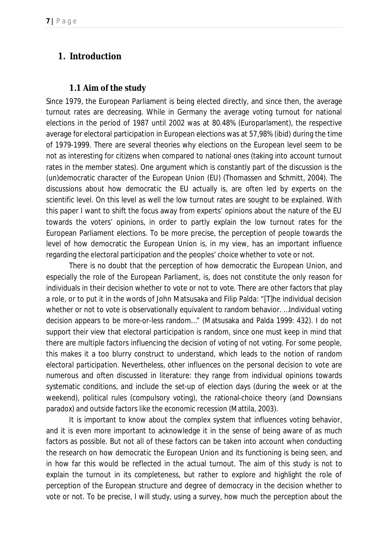### *1. Introduction*

### **1.1 Aim of the study**

Since 1979, the European Parliament is being elected directly, and since then, the average turnout rates are decreasing. While in Germany the average voting turnout for national elections in the period of 1987 until 2002 was at 80.48% (Europarlament), the respective average for electoral participation in European elections was at 57,98% (ibid) during the time of 1979-1999. There are several theories why elections on the European level seem to be not as interesting for citizens when compared to national ones (taking into account turnout rates in the member states). One argument which is constantly part of the discussion is the (un)democratic character of the European Union (EU) (Thomassen and Schmitt, 2004). The discussions about how democratic the EU actually is, are often led by experts on the scientific level. On this level as well the low turnout rates are sought to be explained. With this paper I want to shift the focus away from experts' opinions about the nature of the EU towards the voters' opinions, in order to partly explain the low turnout rates for the European Parliament elections. To be more precise, the perception of people towards the level of how democratic the European Union is, in my view, has an important influence regarding the electoral participation and the peoples' choice whether to vote or not.

There is no doubt that the perception of how democratic the European Union, and especially the role of the European Parliament, is, does not constitute the only reason for individuals in their decision whether to vote or not to vote. There are other factors that play a role, or to put it in the words of John Matsusaka and Filip Palda: "[T]he individual decision whether or not to vote is observationally equivalent to random behavior. …Individual voting decision appears to be more-or-less random…" (Matsusaka and Palda 1999: 432). I do not support their view that electoral participation is random, since one must keep in mind that there are multiple factors influencing the decision of voting of not voting. For some people, this makes it a too blurry construct to understand, which leads to the notion of *random electoral participation*. Nevertheless, other influences on the personal decision to vote are numerous and often discussed in literature: they range from individual opinions towards systematic conditions, and include the set-up of election days (during the week or at the weekend), political rules (compulsory voting), the rational-choice theory (and Downsians paradox) and outside factors like the economic recession (Mattila, 2003).

It is important to know about the complex system that influences voting behavior, and it is even more important to acknowledge it in the sense of being aware of as much factors as possible. But not all of these factors can be taken into account when conducting the research on how democratic the European Union and its functioning is being seen, and in how far this would be reflected in the actual turnout. The aim of this study is not to explain the turnout in its completeness, but rather to explore and highlight the role of perception of the European structure and degree of democracy in the decision whether to vote or not. To be precise, I will study, using a survey, how much the perception about the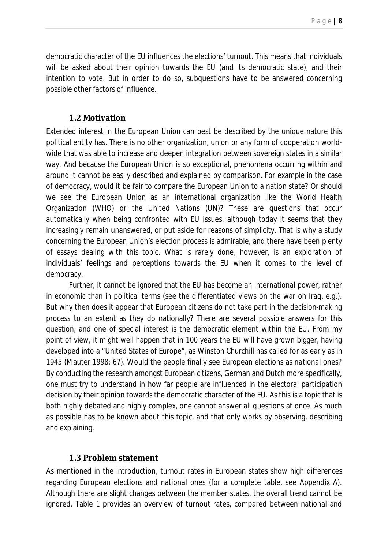democratic character of the EU influences the elections' turnout. This means that individuals will be asked about their opinion towards the EU (and its democratic state), and their intention to vote. But in order to do so, subquestions have to be answered concerning possible other factors of influence.

### **1.2 Motivation**

Extended interest in the European Union can best be described by the unique nature this political entity has. There is no other organization, union or any form of cooperation worldwide that was able to increase and deepen integration between sovereign states in a similar way. And because the European Union is so exceptional, phenomena occurring within and around it cannot be easily described and explained by comparison. For example in the case of democracy, would it be fair to compare the European Union to a nation state? Or should we see the European Union as an international organization like the World Health Organization (WHO) or the United Nations (UN)? These are questions that occur automatically when being confronted with EU issues, although today it seems that they increasingly remain unanswered, or put aside for reasons of simplicity. That is why a study concerning the European Union's election process is admirable, and there have been plenty of essays dealing with this topic. What is rarely done, however, is an exploration of individuals' feelings and perceptions towards the EU when it comes to the level of democracy.

Further, it cannot be ignored that the EU has become an international power, rather in economic than in political terms (see the differentiated views on the war on Iraq, *e.g.*). But why then does it appear that European citizens do not take part in the decision-making process to an extent as they do nationally? There are several possible answers for this question, and one of special interest is the democratic element within the EU. From my point of view, it might well happen that in 100 years the EU will have grown bigger, having developed into a "United States of Europe", as Winston Churchill has called for as early as in 1945 (Mauter 1998: 67). Would the people finally see European elections as *national* ones? By conducting the research amongst European citizens, German and Dutch more specifically, one must try to understand in how far people are influenced in the electoral participation decision by their opinion towards the democratic character of the EU. As this is a topic that is both highly debated and highly complex, one cannot answer all questions at once. As much as possible has to be known about this topic, and that only works by observing, describing and explaining.

### **1.3 Problem statement**

As mentioned in the introduction, turnout rates in European states show high differences regarding European elections and national ones (for a complete table, see Appendix A). Although there are slight changes between the member states, the overall trend cannot be ignored. Table 1 provides an overview of turnout rates, compared between national and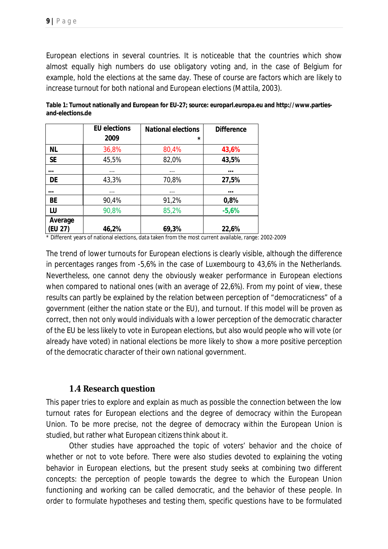European elections in several countries. It is noticeable that the countries which show almost equally high numbers do use obligatory voting and, in the case of Belgium for example, hold the elections at the same day. These of course are factors which are likely to increase turnout for both national and European elections (Mattila, 2003).

|           | <b>EU elections</b> | <b>National elections</b> | <b>Difference</b> |
|-----------|---------------------|---------------------------|-------------------|
|           | 2009                | $\star$                   |                   |
| <b>NL</b> | 36,8%               | 80,4%                     | 43,6%             |
| <b>SE</b> | 45,5%               | 82,0%                     | 43,5%             |
| $\cdots$  | $\cdots$            | $\cdots$                  | $\cdots$          |
| DE        | 43,3%               | 70,8%                     | 27,5%             |
| $\cdots$  | $\cdots$            | .                         | $\cdots$          |
| <b>BE</b> | 90,4%               | 91,2%                     | 0,8%              |
| LU        | 90,8%               | 85,2%                     | $-5,6%$           |
| Average   |                     |                           |                   |
| (EU 27)   | 46,2%               | 69,3%                     | 22,6%             |

**Table 1: Turnout nationally and European for EU-27; source: europarl.europa.eu and http://www.partiesand-elections.de**

\* Different years of national elections, data taken from the most current available, range: 2002-2009

The trend of lower turnouts for European elections is clearly visible, although the difference in percentages ranges from -5,6% in the case of Luxembourg to 43,6% in the Netherlands. Nevertheless, one cannot deny the obviously weaker performance in European elections when compared to national ones (with an average of 22,6%). From my point of view, these results can partly be explained by the relation between perception of "democraticness" of a government (either the nation state or the EU), and turnout. If this model will be proven as correct, then not only would individuals with a lower perception of the democratic character of the EU be less likely to vote in European elections, but also would people who will vote (or already have voted) in national elections be more likely to show a more positive perception of the democratic character of their own national government.

### **1.4 Research question**

This paper tries to explore and explain as much as possible the connection between the low turnout rates for European elections and the degree of democracy within the European Union. To be more precise, not the degree of democracy within the European Union is studied, but rather what European citizens *think* about it.

Other studies have approached the topic of voters' behavior and the choice of whether or not to vote before. There were also studies devoted to explaining the voting behavior in European elections, but the present study seeks at combining two different concepts: the perception of people towards the degree to which the European Union functioning and working can be called democratic, and the behavior of these people. In order to formulate hypotheses and testing them, specific questions have to be formulated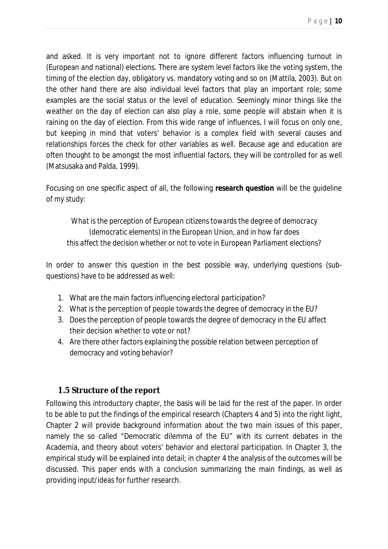P a g e **| 10**

and asked. It is very important not to ignore different factors influencing turnout in (European and national) elections. There are system level factors like the voting system, the timing of the election day, obligatory vs. mandatory voting and so on (Mattila, 2003). But on the other hand there are also individual level factors that play an important role; some examples are the social status or the level of education. Seemingly minor things like the weather on the day of election can also play a role, some people will abstain when it is raining on the day of election. From this wide range of influences, I will focus on only one, but keeping in mind that voters' behavior is a complex field with several causes and relationships forces the check for other variables as well. Because age and education are often thought to be amongst the most influential factors, they will be controlled for as well (Matsusaka and Palda, 1999).

Focusing on one specific aspect of all, the following **research question** will be the guideline of my study:

*What is the perception of European citizens towards the degree of democracy (democratic elements) in the European Union, and in how far does this affect the decision whether or not to vote in European Parliament elections?*

In order to answer this question in the best possible way, underlying questions (subquestions) have to be addressed as well:

- 1. What are the main factors influencing electoral participation?
- 2. What is the perception of people towards the degree of democracy in the EU?
- 3. Does the perception of people towards the degree of democracy in the EU affect their decision whether to vote or not?
- 4. Are there other factors explaining the possible relation between perception of democracy and voting behavior?

### **1.5 Structure of the report**

Following this introductory chapter, the basis will be laid for the rest of the paper. In order to be able to put the findings of the empirical research (Chapters 4 and 5) into the right light, Chapter 2 will provide background information about the two main issues of this paper, namely the so called "Democratic dilemma of the EU" with its current debates in the Academia, and theory about voters' behavior and electoral participation. In Chapter 3, the empirical study will be explained into detail; in chapter 4 the analysis of the outcomes will be discussed. This paper ends with a conclusion summarizing the main findings, as well as providing input/ideas for further research.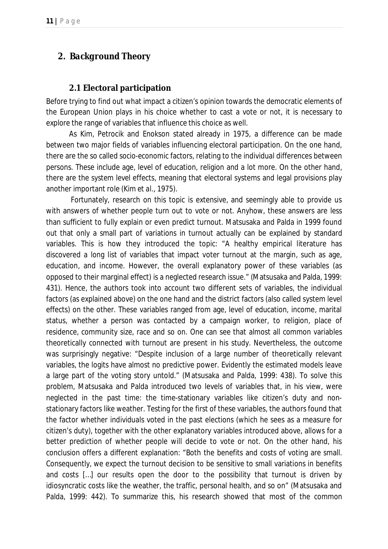# *2. Background Theory*

### **2.1 Electoral participation**

Before trying to find out what impact a citizen's opinion towards the democratic elements of the European Union plays in his choice whether to cast a vote or not, it is necessary to explore the range of variables that influence this choice as well.

As Kim, Petrocik and Enokson stated already in 1975, a difference can be made between two major fields of variables influencing electoral participation. On the one hand, there are the so called *socio-economic* factors, relating to the individual differences between persons. These include age, level of education, religion and a lot more. On the other hand, there are the *system level* effects, meaning that electoral systems and legal provisions play another important role (Kim *et al*., 1975).

Fortunately, research on this topic is extensive, and seemingly able to provide us with answers of whether people turn out to vote or not. Anyhow, these answers are less than sufficient to fully explain or even predict turnout. Matsusaka and Palda in 1999 found out that only a small part of variations in turnout actually can be explained by standard variables. This is how they introduced the topic: "A healthy empirical literature has discovered a long list of variables that impact voter turnout at the margin, such as age, education, and income. However, the overall explanatory power of these variables (as opposed to their marginal effect) is a neglected research issue." (Matsusaka and Palda, 1999: 431). Hence, the authors took into account two different sets of variables, the individual factors (as explained above) on the one hand and the district factors (also called system level effects) on the other. These variables ranged from age, level of education, income, marital status, whether a person was contacted by a campaign worker, to religion, place of residence, community size, race and so on. One can see that almost all common variables theoretically connected with turnout are present in his study. Nevertheless, the outcome was surprisingly negative: "Despite inclusion of a large number of theoretically relevant variables, the logits have almost no predictive power. Evidently the estimated models leave a large part of the voting story untold." (Matsusaka and Palda, 1999: 438). To solve this problem, Matsusaka and Palda introduced two levels of variables that, in his view, were neglected in the past time: the time-stationary variables like citizen's duty and nonstationary factors like weather. Testing for the first of these variables, the authors found that the factor whether individuals voted in the past elections (which he sees as a measure for citizen's duty), together with the other explanatory variables introduced above, allows for a better prediction of whether people will decide to vote or not. On the other hand, his conclusion offers a different explanation: "Both the benefits and costs of voting are small. Consequently, we expect the turnout decision to be sensitive to small variations in benefits and costs […] our results open the door to the possibility that turnout is driven by idiosyncratic costs like the weather, the traffic, personal health, and so on" (Matsusaka and Palda, 1999: 442). To summarize this, his research showed that most of the common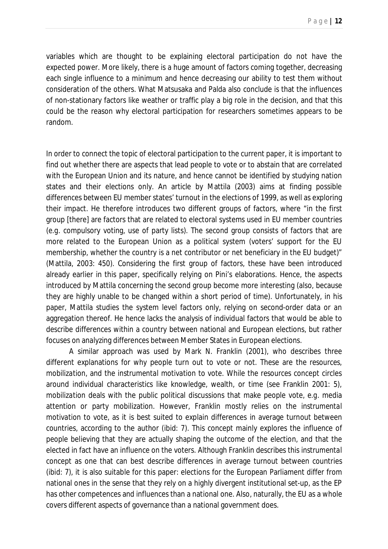variables which are thought to be explaining electoral participation do not have the expected power. More likely, there is a huge amount of factors coming together, decreasing each single influence to a minimum and hence decreasing our ability to test them without consideration of the others. What Matsusaka and Palda also conclude is that the influences of non-stationary factors like weather or traffic play a big role in the decision, and that this could be the reason why electoral participation for researchers sometimes appears to be random.

In order to connect the topic of electoral participation to the current paper, it is important to find out whether there are aspects that lead people to vote or to abstain that are correlated with the European Union and its nature, and hence cannot be identified by studying nation states and their elections only. An article by Mattila (2003) aims at finding possible differences between EU member states' turnout in the elections of 1999, as well as exploring their impact. He therefore introduces two different groups of factors, where "in the first group [there] are factors that are related to electoral systems used in EU member countries (*e.g.* compulsory voting, use of party lists). The second group consists of factors that are more related to the European Union as a political system (voters' support for the EU membership, whether the country is a net contributor or net beneficiary in the EU budget)" (Mattila, 2003: 450). Considering the first group of factors, these have been introduced already earlier in this paper, specifically relying on Pini's elaborations. Hence, the aspects introduced by Mattila concerning the second group become more interesting (also, because they are highly unable to be changed within a short period of time). Unfortunately, in his paper, Mattila studies the system level factors only, relying on second-order data or an aggregation thereof. He hence lacks the analysis of individual factors that would be able to describe differences within a country between national and European elections, but rather focuses on analyzing differences between Member States in European elections.

A similar approach was used by Mark N. Franklin (2001), who describes three different explanations for why people turn out to vote or not. These are the *resources, mobilization,* and the *instrumental motivation* to vote. While the *resources* concept circles around individual characteristics like knowledge, wealth, or time (see Franklin 2001: 5), *mobilization* deals with the public political discussions that make people vote, *e.g.* media attention or party mobilization. However, Franklin mostly relies on the *instrumental motivation* to vote, as it is best suited to explain differences in average turnout between countries, according to the author (ibid: 7). This concept mainly explores the influence of people believing that they are actually shaping the outcome of the election, and that the elected in fact have an influence on the voters. Although Franklin describes this *instrumental*  concept as one that can best describe differences in average turnout between countries (ibid: 7), it is also suitable for this paper: elections for the European Parliament differ from national ones in the sense that they rely on a highly divergent institutional set-up, as the EP has other competences and influences than a national one. Also, naturally, the EU as a whole covers different aspects of governance than a national government does.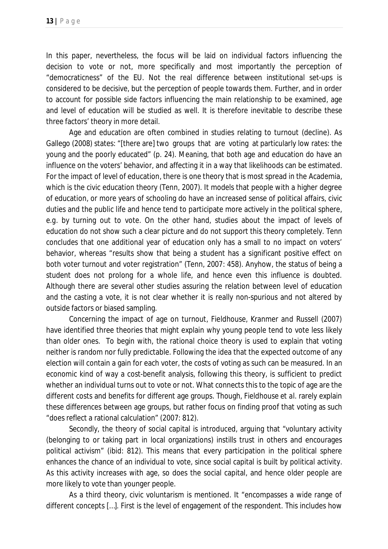In this paper, nevertheless, the focus will be laid on individual factors influencing the decision to vote or not, more specifically and most importantly the perception of "democraticness" of the EU. Not the real difference between institutional set-ups is considered to be decisive, but the perception of people towards them. Further, and in order to account for possible side factors influencing the main relationship to be examined, age and level of education will be studied as well. It is therefore inevitable to describe these three factors' theory in more detail.

Age and education are often combined in studies relating to turnout (decline). As Gallego (2008) states: "[there are] two groups that are voting at particularly low rates: the young and the poorly educated" (p. 24). Meaning, that both age and education do have an influence on the voters' behavior, and affecting it in a way that likelihoods can be estimated. For the impact of level of education, there is one theory that is most spread in the Academia, which is the civic education theory (Tenn, 2007). It models that people with a higher degree of education, or more years of schooling do have an increased sense of political affairs, civic duties and the public life and hence tend to participate more actively in the political sphere, *e.g.* by turning out to vote. On the other hand, studies about the impact of levels of education do not show such a clear picture and do not support this theory completely. Tenn concludes that one additional year of education only has a small to no impact on voters' behavior, whereas "results show that being a student has a significant positive effect on both voter turnout and voter registration" (Tenn, 2007: 458). Anyhow, the status of being a student does not prolong for a whole life, and hence even this influence is doubted. Although there are several other studies assuring the relation between level of education and the casting a vote, it is not clear whether it is really non-spurious and not altered by outside factors or biased sampling.

Concerning the impact of age on turnout, Fieldhouse, Kranmer and Russell (2007) have identified three theories that might explain why young people tend to vote less likely than older ones. To begin with, the rational choice theory is used to explain that voting neither is random nor fully predictable. Following the idea that the expected outcome of any election will contain a gain for each voter, the costs of voting as such can be measured. In an economic kind of way a cost-benefit analysis, following this theory, is sufficient to predict whether an individual turns out to vote or not. What connects this to the topic of age are the different costs and benefits for different age groups. Though, Fieldhouse *et al*. rarely explain these differences between age groups, but rather focus on finding proof that voting as such "does reflect a rational calculation" (2007: 812).

Secondly, the theory of social capital is introduced, arguing that "voluntary activity (belonging to or taking part in local organizations) instills trust in others and encourages political activism" (ibid: 812). This means that every participation in the political sphere enhances the chance of an individual to vote, since social capital is built by political activity. As this activity increases with age, so does the social capital, and hence older people are more likely to vote than younger people.

As a third theory, civic voluntarism is mentioned. It "encompasses a wide range of different concepts […]. First is the level of engagement of the respondent. This includes how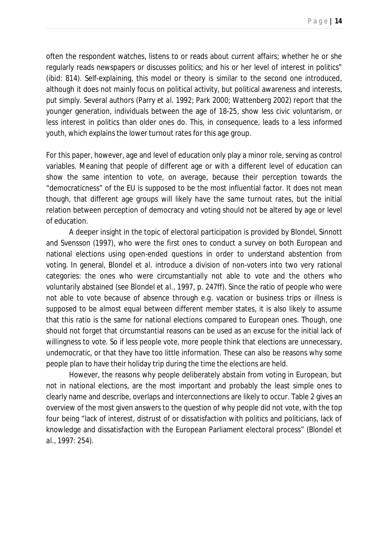often the respondent watches, listens to or reads about current affairs; whether he or she regularly reads newspapers or discusses politics; and his or her level of interest in politics" (ibid: 814). Self-explaining, this model or theory is similar to the second one introduced, although it does not mainly focus on political activity, but political awareness and interests, put simply. Several authors (Parry *et al*. 1992; Park 2000; Wattenberg 2002) report that the younger generation, individuals between the age of 18-25, show less civic voluntarism, or less interest in politics than older ones do. This, in consequence, leads to a less informed youth, which explains the lower turnout rates for this age group.

For this paper, however, age and level of education only play a minor role, serving as control variables. Meaning that people of different age or with a different level of education can show the same intention to vote, on average, because their perception towards the "democraticness" of the EU is supposed to be the most influential factor. It does not mean though, that different age groups will likely have the same turnout rates, but the initial relation between perception of democracy and voting should not be altered by age or level of education.

A deeper insight in the topic of electoral participation is provided by Blondel, Sinnott and Svensson (1997), who were the first ones to conduct a survey on both European and national elections using open-ended questions in order to understand abstention from voting. In general, Blondel *et al*. introduce a division of non-voters into two very rational categories: the ones who were circumstantially not able to vote and the others who voluntarily abstained (see Blondel *et al*., 1997, p. 247ff). Since the ratio of people who were not able to vote because of absence through *e.g.* vacation or business trips or illness is supposed to be almost equal between different member states, it is also likely to assume that this ratio is the same for national elections compared to European ones. Though, one should not forget that circumstantial reasons can be used as an excuse for the initial lack of willingness to vote. So if less people vote, more people think that elections are unnecessary, undemocratic, or that they have too little information. These can also be reasons why some people plan to have their holiday trip during the time the elections are held.

However, the reasons why people deliberately abstain from voting in European, but not in national elections, are the most important and probably the least simple ones to clearly name and describe, overlaps and interconnections are likely to occur. Table 2 gives an overview of the most given answers to the question of why people did not vote, with the top four being "lack of interest, distrust of or dissatisfaction with politics and politicians, lack of knowledge and dissatisfaction with the European Parliament electoral process" (Blondel *et al*., 1997: 254).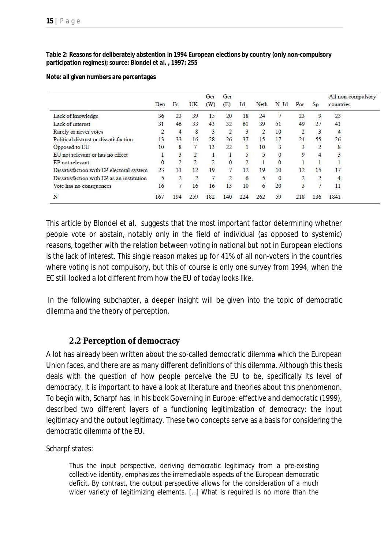### **Table 2: Reasons for deliberately abstention in 1994 European elections by country (only non-compulsory participation regimes); source: Blondel** *et al***. , 1997: 255**

### **Note: all given numbers are percentages**

|                                           | Den | Fr             | UK  | Ger<br>(W) | Ger<br>(E) | Irl | Neth | N. Irl       | Por            | Sp            | All non-compulsory<br>countries |
|-------------------------------------------|-----|----------------|-----|------------|------------|-----|------|--------------|----------------|---------------|---------------------------------|
| Lack of knowledge                         | 36  | 23             | 39  | 15         | 20         | 18  | 24   |              | 23             | 9             | 23                              |
| Lack of interest                          | 31  | 46             | 33  | 43         | 32         | 61  | 39   | 51           | 49             | 27            | 41                              |
| Rarely or never votes                     |     | 4              | 8   |            | ்          | 3   | 2    | 10           |                |               | 4                               |
| Political distrust or dissatisfaction     | 13  | 33             | 16  | 28         | 26         | 37  | 15   | 17           | 24             | 55            | 26                              |
| Opposed to EU                             | 10  | 8              |     | 13         | 22         |     | 10   | 3            | 3              | $\mathcal{L}$ | 8                               |
| EU not relevant or has no effect          |     | 3              |     |            |            |     | 5    | $\mathbf{0}$ | 9              |               | 3                               |
| EP not relevant                           | 0   | $\overline{2}$ |     |            | $\Omega$   |     |      | $\mathbf{0}$ |                |               |                                 |
| Dissatisfaction with EP electoral system  | 23  | 31             | 12  | 19         | $\tau$     | 12  | 19   | 10           | 12             | 15            | 17                              |
| Dissatisfaction with EP as an institution | 5   |                |     |            | ்          | 6   | 5    | $\mathbf{0}$ |                |               | 4                               |
| Vote has no consquences                   | 16  | 7              | 16  | 16         | 13         | 10  | 6    | 20           | $\overline{3}$ |               | 11                              |
| N                                         | 167 | 194            | 259 | 182        | 140        | 224 | 262  | 59           | 218            | 136           | 1841                            |

This article by Blondel *et al*. suggests that the most important factor determining whether people vote or abstain, notably only in the field of individual (as opposed to systemic) reasons, together with the relation between voting in national but not in European elections is the lack of interest. This single reason makes up for 41% of all non-voters in the countries where voting is not compulsory, but this of course is only one survey from 1994, when the EC still looked a lot different from how the EU of today looks like.

In the following subchapter, a deeper insight will be given into the topic of democratic dilemma and the theory of perception.

### **2.2 Perception of democracy**

A lot has already been written about the so-called democratic dilemma which the European Union faces, and there are as many different definitions of this dilemma. Although this thesis deals with the question of how people perceive the EU to be, specifically its level of democracy, it is important to have a look at literature and theories about this phenomenon. To begin with, Scharpf has, in his book *Governing in Europe: effective and democratic* (1999), described two different layers of a functioning legitimization of democracy: the input legitimacy and the output legitimacy. These two concepts serve as a basis for considering the democratic dilemma of the EU.

Scharpf states:

Thus the input perspective, deriving democratic legitimacy from a pre-existing collective identity, emphasizes the irremediable aspects of the European democratic deficit. By contrast, the output perspective allows for the consideration of a much wider variety of legitimizing elements. […] What is required is no more than the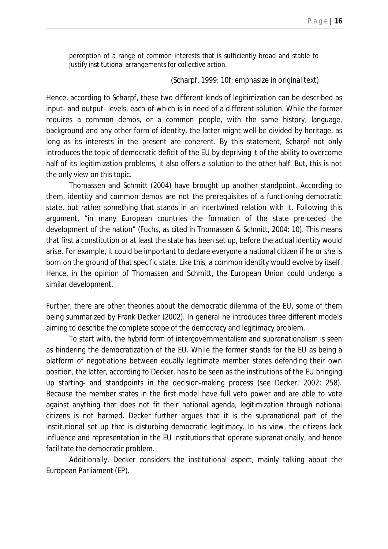perception of a range of *common interests* that is sufficiently broad and stable to justify institutional arrangements for collective action.

### (Scharpf, 1999: 10f; emphasize in original text)

Hence, according to Scharpf, these two different kinds of legitimization can be described as input- and output- levels, each of which is in need of a different solution. While the former requires a common *demos*, or a common people, with the same history, language, background and any other form of identity, the latter might well be divided by heritage, as long as its interests in the present are coherent. By this statement, Scharpf not only introduces the topic of democratic deficit of the EU by depriving it of the ability to overcome half of its legitimization problems, it also offers a solution to the other half. But, this is not the only view on this topic.

Thomassen and Schmitt (2004) have brought up another standpoint. According to them, identity and common *demos* are not the prerequisites of a functioning democratic state, but rather something that stands in an intertwined relation with it. Following this argument, "in many European countries the formation of the state pre-ceded the development of the nation" (Fuchs, as cited in Thomassen & Schmitt, 2004: 10). This means that first a constitution or at least the state has been set up, before the actual identity would arise. For example, it could be important to declare everyone a national citizen if he or she is born on the ground of that specific state. Like this, a common identity would evolve by itself. Hence, in the opinion of Thomassen and Schmitt, the European Union could undergo a similar development.

Further, there are other theories about the democratic dilemma of the EU, some of them being summarized by Frank Decker (2002). In general he introduces three different models aiming to describe the complete scope of the democracy and legitimacy problem.

To start with, the hybrid form of intergovernmentalism and supranationalism is seen as hindering the democratization of the EU. While the former stands for the EU as being a platform of negotiations between equally legitimate member states defending their own position, the latter, according to Decker, has to be seen as the institutions of the EU bringing up starting- and standpoints in the decision-making process (see Decker, 2002: 258). Because the member states in the first model have full veto power and are able to vote against anything that does not fit their national agenda, legitimization through national citizens is not harmed. Decker further argues that it is the supranational part of the institutional set up that is disturbing democratic legitimacy. In his view, the citizens lack influence and representation in the EU institutions that operate supranationally, and hence facilitate the democratic problem.

Additionally, Decker considers the institutional aspect, mainly talking about the European Parliament (EP).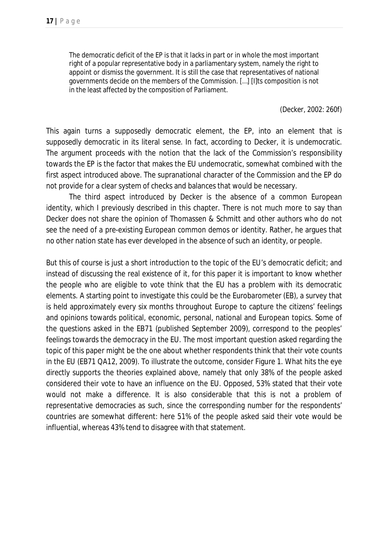The democratic deficit of the EP is that it lacks in part or in whole the most important right of a popular representative body in a parliamentary system, namely the right to appoint or dismiss the government. It is still the case that representatives of national governments decide on the members of the Commission. […] [I]ts composition is not in the least affected by the composition of Parliament.

(Decker, 2002: 260f)

This again turns a supposedly democratic element, the EP, into an element that is *supposedly democratic* in its literal sense. In fact, according to Decker, it is undemocratic. The argument proceeds with the notion that the lack of the Commission's responsibility towards the EP is the factor that makes the EU undemocratic, somewhat combined with the first aspect introduced above. The supranational character of the Commission and the EP do not provide for a clear system of checks and balances that would be necessary.

The third aspect introduced by Decker is the absence of a common European identity, which I previously described in this chapter. There is not much more to say than Decker does not share the opinion of Thomassen & Schmitt and other authors who do not see the need of a pre-existing European common *demos* or identity. Rather, he argues that no other nation state has ever developed in the absence of such an identity, or people.

But this of course is just a short introduction to the topic of the EU's democratic deficit; and instead of discussing the real existence of it, for this paper it is important to know whether the people who are eligible to vote *think* that the EU has a problem with its democratic elements. A starting point to investigate this could be the Eurobarometer (EB), a survey that is held approximately every six months throughout Europe to capture the citizens' feelings and opinions towards political, economic, personal, national and European topics. Some of the questions asked in the EB71 (published September 2009), correspond to the peoples' feelings towards the democracy in the EU. The most important question asked regarding the topic of this paper might be the one about whether respondents think that their vote counts in the EU (EB71 QA12, 2009). To illustrate the outcome, consider Figure 1. What hits the eye directly supports the theories explained above, namely that only 38% of the people asked considered their vote to have an influence on the EU. Opposed, 53% stated that their vote would not make a difference. It is also considerable that this is not a problem of representative democracies as such, since the corresponding number for the respondents' countries are somewhat different: here 51% of the people asked said their vote would be influential, whereas 43% tend to disagree with that statement.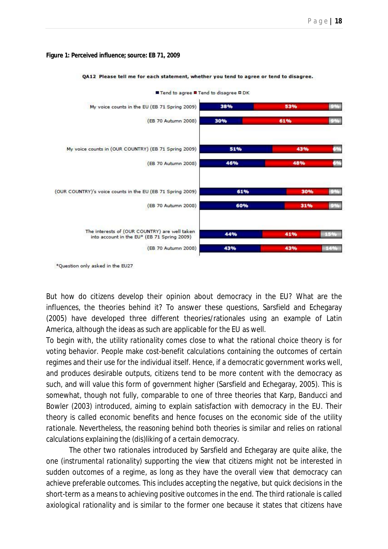### **Figure 1: Perceived influence; source: EB 71, 2009**



QA12 Please tell me for each statement, whether you tend to agree or tend to disagree.

\*Question only asked in the EU27

But how do citizens develop their opinion about democracy in the EU? What are the influences, the theories behind it? To answer these questions, Sarsfield and Echegaray (2005) have developed three different theories/rationales using an example of Latin America, although the ideas as such are applicable for the EU as well.

To begin with, the *utility rationality* comes close to what the rational choice theory is for voting behavior. People make cost-benefit calculations containing the outcomes of certain regimes and their use for the individual itself. Hence, if a democratic government works well, and produces desirable outputs, citizens tend to be more content with the democracy as such, and will value this form of government higher (Sarsfield and Echegaray, 2005). This is somewhat, though not fully, comparable to one of three theories that Karp, Banducci and Bowler (2003) introduced, aiming to explain satisfaction with democracy in the EU. Their theory is called *economic benefits* and hence focuses on the economic side of the *utility rationale*. Nevertheless, the reasoning behind both theories is similar and relies on rational calculations explaining the (dis)liking of a certain democracy.

The other two rationales introduced by Sarsfield and Echegaray are quite alike, the one (*instrumental rationality*) supporting the view that citizens might not be interested in sudden outcomes of a regime, as long as they have the overall view that democracy can achieve preferable outcomes. This includes accepting the negative, but quick decisions in the short-term as a means to achieving positive outcomes in the end. The third rationale is called *axiological rationality* and is similar to the former one because it states that citizens have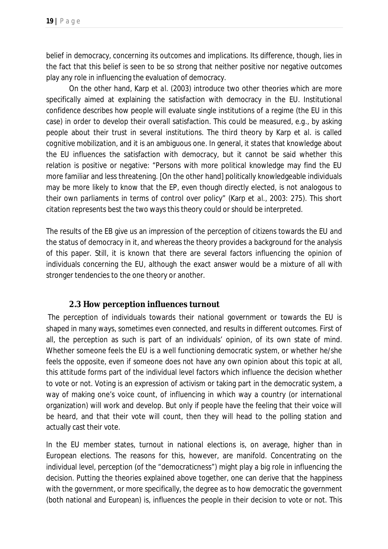belief in democracy, concerning its outcomes and implications. Its difference, though, lies in the fact that this belief is seen to be so strong that neither positive nor negative outcomes play any role in influencing the evaluation of democracy.

On the other hand, Karp *et al*. (2003) introduce two other theories which are more specifically aimed at explaining the satisfaction with democracy in the EU. *Institutional confidence* describes how people will evaluate single institutions of a regime (the EU in this case) in order to develop their overall satisfaction. This could be measured, *e.g.*, by asking people about their trust in several institutions. The third theory by Karp *et al*. is called *cognitive mobilization*, and it is an ambiguous one. In general, it states that knowledge about the EU influences the satisfaction with democracy, but it cannot be said whether this relation is positive or negative: "Persons with more political knowledge may find the EU more familiar and less threatening. [On the other hand] politically knowledgeable individuals may be more likely to know that the EP, even though directly elected, is not analogous to their own parliaments in terms of control over policy" (Karp *et al*., 2003: 275). This short citation represents best the two ways this theory could or should be interpreted.

The results of the EB give us an impression of the perception of citizens towards the EU and the status of democracy in it, and whereas the theory provides a background for the analysis of this paper. Still, it is known that there are several factors influencing the opinion of individuals concerning the EU, although the exact answer would be a mixture of all with stronger tendencies to the one theory or another.

### **2.3 How perception influences turnout**

The perception of individuals towards their national government or towards the EU is shaped in many ways, sometimes even connected, and results in different outcomes. First of all, the perception as such is part of an individuals' opinion, of its own state of mind. Whether someone feels the EU is a well functioning democratic system, or whether he/she feels the opposite, even if someone does not have any own opinion about this topic at all, this attitude forms part of the individual level factors which influence the decision whether to vote or not. Voting is an expression of activism or taking part in the democratic system, a way of making one's voice count, of influencing in which way a country (or international organization) will work and develop. But only if people have the feeling that their voice *will be heard*, and that their *vote will count,* then they will head to the polling station and actually cast their vote.

In the EU member states, turnout in national elections is, on average, higher than in European elections. The reasons for this, however, are manifold. Concentrating on the individual level, perception (of the "democraticness") might play a big role in influencing the decision. Putting the theories explained above together, one can derive that the happiness with the government, or more specifically, the degree as to how democratic the government (both national and European) is, influences the people in their decision to vote or not. This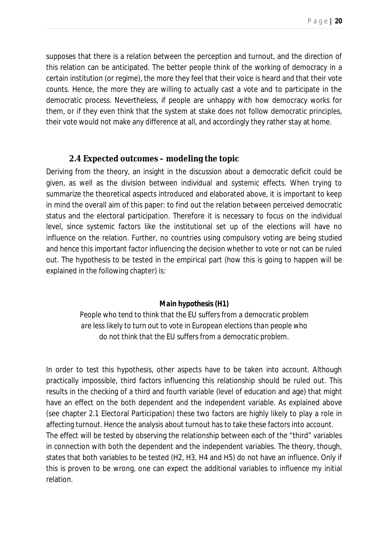supposes that there is a relation between the perception and turnout, and the direction of this relation can be anticipated. The better people think of the working of democracy in a certain institution (or regime), the more they feel that their voice is heard and that their vote counts. Hence, the more they are willing to actually cast a vote and to participate in the democratic process. Nevertheless, if people are unhappy with how democracy works for them, or if they even think that the system at stake does not follow democratic principles, their vote would not make any difference at all, and accordingly they rather stay at home.

### **2.4 Expected outcomes – modeling the topic**

Deriving from the theory, an insight in the discussion about a democratic deficit could be given, as well as the division between individual and systemic effects. When trying to summarize the theoretical aspects introduced and elaborated above, it is important to keep in mind the overall aim of this paper: to find out the relation between perceived democratic status and the electoral participation. Therefore it is necessary to focus on the individual level, since systemic factors like the institutional set up of the elections will have no influence on the relation. Further, no countries using compulsory voting are being studied and hence this important factor influencing the decision whether to vote or not can be ruled out. The hypothesis to be tested in the empirical part (how this is going to happen will be explained in the following chapter) is:

### *Main hypothesis (H1)*

*People who tend to think that the EU suffers from a democratic problem are less likely to turn out to vote in European elections than people who do not think that the EU suffers from a democratic problem.*

In order to test this hypothesis, other aspects have to be taken into account. Although practically impossible, third factors influencing this relationship should be ruled out. This results in the checking of a third and fourth variable (level of education and age) that might have an effect on the both dependent and the independent variable. As explained above (see chapter 2.1 Electoral Participation) these two factors are highly likely to play a role in affecting turnout. Hence the analysis about turnout has to take these factors into account. The effect will be tested by observing the relationship between each of the "third" variables in connection with both the dependent and the independent variables. The theory, though, states that both variables to be tested (H2, H3, H4 and H5) do not have an influence. Only if this is proven to be wrong, one can expect the additional variables to influence my initial relation.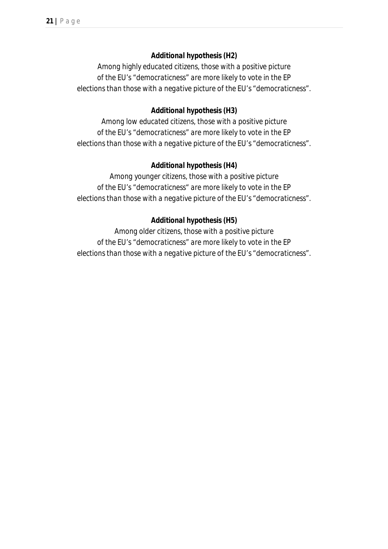### *Additional hypothesis (H2)*

*Among highly educated citizens, those with a positive picture of the EU's "democraticness" are more likely to vote in the EP elections than those with a negative picture of the EU's "democraticness".*

### *Additional hypothesis (H3)*

*Among low educated citizens, those with a positive picture of the EU's "democraticness" are more likely to vote in the EP elections than those with a negative picture of the EU's "democraticness".*

### *Additional hypothesis (H4)*

*Among younger citizens, those with a positive picture of the EU's "democraticness" are more likely to vote in the EP elections than those with a negative picture of the EU's "democraticness".*

### *Additional hypothesis (H5)*

*Among older citizens, those with a positive picture of the EU's "democraticness" are more likely to vote in the EP elections than those with a negative picture of the EU's "democraticness".*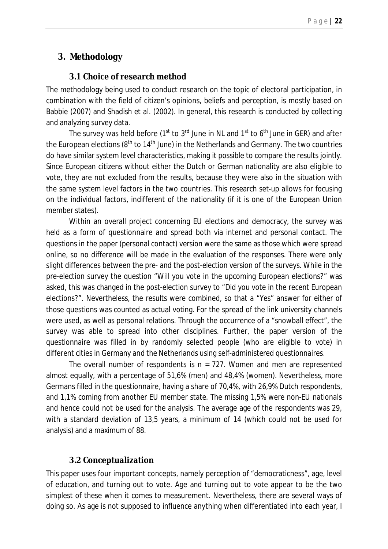# *3. Methodology*

### **3.1 Choice of research method**

The methodology being used to conduct research on the topic of electoral participation, in combination with the field of citizen's opinions, beliefs and perception, is mostly based on Babbie (2007) and Shadish *et al*. (2002). In general, this research is conducted by collecting and analyzing survey data.

The survey was held before ( $1<sup>st</sup>$  to  $3<sup>rd</sup>$  June in NL and  $1<sup>st</sup>$  to  $6<sup>th</sup>$  June in GER) and after the European elections ( $8<sup>th</sup>$  to  $14<sup>th</sup>$  June) in the Netherlands and Germany. The two countries do have similar system level characteristics, making it possible to compare the results jointly. Since European citizens without either the Dutch or German nationality are also eligible to vote, they are not excluded from the results, because they were also in the situation with the same system level factors in the two countries. This research set-up allows for focusing on the individual factors, indifferent of the nationality (if it is one of the European Union member states).

Within an overall project concerning EU elections and democracy, the survey was held as a form of questionnaire and spread both via internet and personal contact. The questions in the paper (personal contact) version were the same as those which were spread online, so no difference will be made in the evaluation of the responses. There were only slight differences between the pre- and the post-election version of the surveys. While in the pre-election survey the question "Will you vote in the upcoming European elections?" was asked, this was changed in the post-election survey to "Did you vote in the recent European elections?". Nevertheless, the results were combined, so that a "Yes" answer for either of those questions was counted as actual voting. For the spread of the link university channels were used, as well as personal relations. Through the occurrence of a "snowball effect", the survey was able to spread into other disciplines. Further, the paper version of the questionnaire was filled in by randomly selected people (who are eligible to vote) in different cities in Germany and the Netherlands using self-administered questionnaires.

The overall number of respondents is  $n = 727$ . Women and men are represented almost equally, with a percentage of 51,6% (men) and 48,4% (women). Nevertheless, more Germans filled in the questionnaire, having a share of 70,4%, with 26,9% Dutch respondents, and 1,1% coming from another EU member state. The missing 1,5% were non-EU nationals and hence could not be used for the analysis. The average age of the respondents was 29, with a standard deviation of 13,5 years, a minimum of 14 (which could not be used for analysis) and a maximum of 88.

### **3.2 Conceptualization**

This paper uses four important concepts, namely perception of "democraticness", age, level of education, and turning out to vote. Age and turning out to vote appear to be the two simplest of these when it comes to measurement. Nevertheless, there are several ways of doing so. As age is not supposed to influence anything when differentiated into each year, I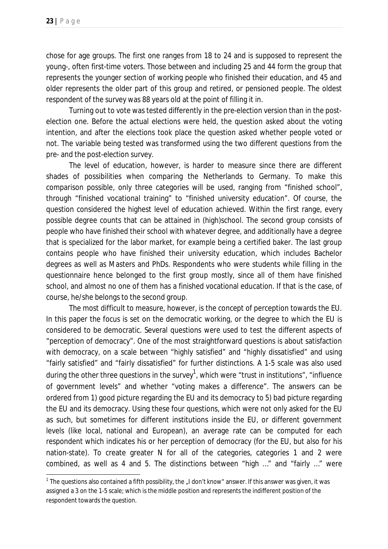$\ddot{\phantom{a}}$ 

chose for age groups. The first one ranges from 18 to 24 and is supposed to represent the young-, often first-time voters. Those between and including 25 and 44 form the group that represents the younger section of working people who finished their education, and 45 and older represents the older part of this group and retired, or pensioned people. The oldest respondent of the survey was 88 years old at the point of filling it in.

Turning out to vote was tested differently in the pre-election version than in the postelection one. Before the actual elections were held, the question asked about the voting intention, and after the elections took place the question asked whether people voted or not. The variable being tested was transformed using the two different questions from the pre- and the post-election survey.

The level of education, however, is harder to measure since there are different shades of possibilities when comparing the Netherlands to Germany. To make this comparison possible, only three categories will be used, ranging from "finished school", through "finished vocational training" to "finished university education". Of course, the question considered the highest level of education achieved. Within the first range, every possible degree counts that can be attained in (high)school. The second group consists of people who have finished their school with whatever degree, and additionally have a degree that is specialized for the labor market, for example being a certified baker. The last group contains people who have finished their university education, which includes Bachelor degrees as well as Masters and PhDs. Respondents who were students while filling in the questionnaire hence belonged to the first group mostly, since all of them have finished school, and almost no one of them has a finished vocational education. If that is the case, of course, he/she belongs to the second group.

The most difficult to measure, however, is the concept of perception towards the EU. In this paper the focus is set on the democratic working, or the degree to which the EU is considered to be democratic. Several questions were used to test the different aspects of "perception of democracy". One of the most straightforward questions is about satisfaction with democracy, on a scale between "highly satisfied" and "highly dissatisfied" and using "fairly satisfied" and "fairly dissatisfied" for further distinctions. A 1-5 scale was also used during the other three questions in the survey $^1$ , which were "trust in institutions", "influence of government levels" and whether "voting makes a difference". The answers can be ordered from 1) good picture regarding the EU and its democracy to 5) bad picture regarding the EU and its democracy. Using these four questions, which were not only asked for the EU as such, but sometimes for different institutions inside the EU, or different government levels (like local, national and European), an average rate can be computed for each respondent which indicates his or her perception of democracy (for the EU, but also for his nation-state). To create greater N for all of the categories, categories 1 and 2 were combined, as well as 4 and 5. The distinctions between "high …" and "fairly …" were

<sup>&</sup>lt;sup>1</sup> The questions also contained a fifth possibility, the "I don't know" answer. If this answer was given, it was assigned a 3 on the 1-5 scale; which is the middle position and represents the indifferent position of the respondent towards the question.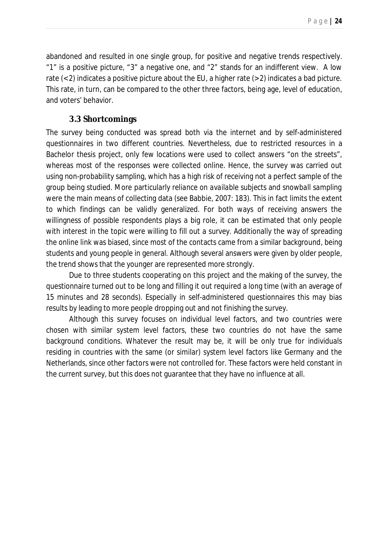abandoned and resulted in one single group, for positive and negative trends respectively. "1" is a positive picture, "3" a negative one, and "2" stands for an indifferent view. A low rate  $(< 2)$  indicates a positive picture about the EU, a higher rate  $(> 2)$  indicates a bad picture. This rate, in turn, can be compared to the other three factors, being age, level of education, and voters' behavior.

### **3.3 Shortcomings**

The survey being conducted was spread both via the internet and by self-administered questionnaires in two different countries. Nevertheless, due to restricted resources in a Bachelor thesis project, only few locations were used to collect answers "on the streets", whereas most of the responses were collected online. Hence, the survey was carried out using non-probability sampling, which has a high risk of receiving not a perfect sample of the group being studied. More particularly *reliance on available subjects* and *snowball sampling* were the main means of collecting data (see Babbie, 2007: 183). This in fact limits the extent to which findings can be validly generalized. For both ways of receiving answers the willingness of possible respondents plays a big role, it can be estimated that only people with interest in the topic were willing to fill out a survey. Additionally the way of spreading the online link was biased, since most of the contacts came from a similar background, being students and young people in general. Although several answers were given by older people, the trend shows that the younger are represented more strongly.

Due to three students cooperating on this project and the making of the survey, the questionnaire turned out to be long and filling it out required a long time (with an average of 15 minutes and 28 seconds). Especially in self-administered questionnaires this may bias results by leading to more people dropping out and not finishing the survey.

Although this survey focuses on individual level factors, and two countries were chosen with similar system level factors, these two countries do not have the same background conditions. Whatever the result may be, it will be only true for individuals residing in countries with the same (or similar) system level factors like Germany and the Netherlands, since other factors were not controlled for. These factors were held constant in the current survey, but this does not guarantee that they have no influence at all.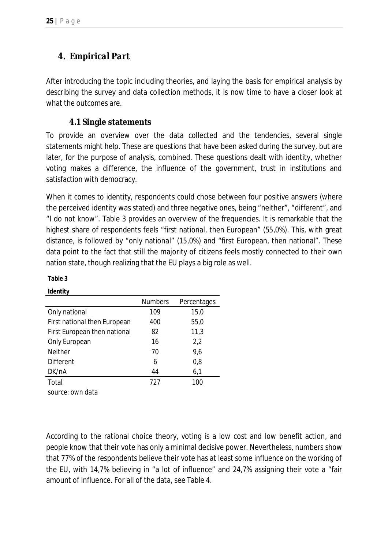# *4. Empirical Part*

After introducing the topic including theories, and laying the basis for empirical analysis by describing the survey and data collection methods, it is now time to have a closer look at what the outcomes are.

### **4.1 Single statements**

To provide an overview over the data collected and the tendencies, several single statements might help. These are questions that have been asked during the survey, but are later, for the purpose of analysis, combined. These questions dealt with identity, whether voting makes a difference, the influence of the government, trust in institutions and satisfaction with democracy.

When it comes to identity, respondents could chose between four positive answers (where the perceived identity was stated) and three negative ones, being "neither", "different", and "I do not know". Table 3 provides an overview of the frequencies. It is remarkable that the highest share of respondents feels "first national, then European" (55,0%). This, with great distance, is followed by "only national" (15,0%) and "first European, then national". These data point to the fact that still the majority of citizens feels mostly connected to their own nation state, though realizing that the EU plays a big role as well.

|                              | <b>Numbers</b> | Percentages |
|------------------------------|----------------|-------------|
| Only national                | 109            | 15,0        |
| First national then European | 400            | 55,0        |
| First European then national | 82             | 11,3        |
| Only European                | 16             | 2,2         |
| <b>Neither</b>               | 70             | 9,6         |
| <b>Different</b>             | 6              | 0,8         |
| DK/nA                        | 44             | 6,1         |
| Total                        | 727            | 100         |
| source: own data             |                |             |

According to the rational choice theory, voting is a low cost and low benefit action, and people know that their vote has only a minimal decisive power. Nevertheless, numbers show that 77% of the respondents believe their vote has at least some influence on the working of the EU, with 14,7% believing in "a lot of influence" and 24,7% assigning their vote a "fair amount of influence. For all of the data, see Table 4.

### **Table 3 Identity**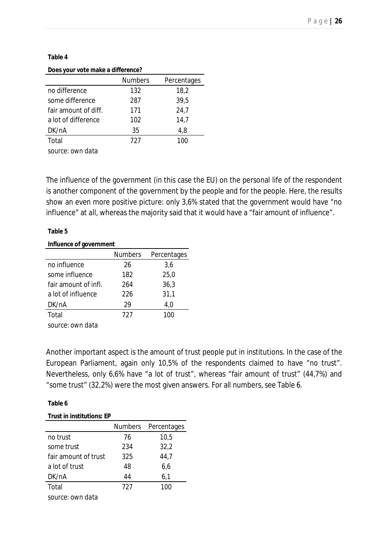### **Table 4**

### **Does your vote make a difference?**

|                      | <b>Numbers</b> | Percentages |
|----------------------|----------------|-------------|
| no difference        | 132            | 18,2        |
| some difference      | 287            | 39,5        |
| fair amount of diff. | 171            | 24,7        |
| a lot of difference  | 102            | 14,7        |
| DK/nA                | 35             | 4,8         |
| Total                | 727            | 100         |

*source: own data*

The influence of the government (in this case the EU) on the personal life of the respondent is another component of the government by the people and for the people. Here, the results show an even more positive picture: only 3,6% stated that the government would have "no influence" at all, whereas the majority said that it would have a "fair amount of influence".

### **Table 5**

### **Influence of government**

|                      | <b>Numbers</b> | Percentages |
|----------------------|----------------|-------------|
| no influence         | 26             | 3,6         |
| some influence       | 182            | 25,0        |
| fair amount of infl. | 264            | 36,3        |
| a lot of influence   | 226            | 31,1        |
| DK/nA                | 29             | 4,0         |
| Total                | 727            | 100         |
|                      |                |             |

*source: own data*

Another important aspect is the amount of trust people put in institutions. In the case of the European Parliament, again only 10,5% of the respondents claimed to have "no trust". Nevertheless, only 6,6% have "a lot of trust", whereas "fair amount of trust" (44,7%) and "some trust" (32,2%) were the most given answers. For all numbers, see Table 6.

### **Table 6**

| <b>Trust in institutions: EP</b> |     |                     |  |  |  |  |
|----------------------------------|-----|---------------------|--|--|--|--|
|                                  |     | Numbers Percentages |  |  |  |  |
| no trust                         | 76  | 10,5                |  |  |  |  |
| some trust                       | 234 | 32,2                |  |  |  |  |
| fair amount of trust             | 325 | 44,7                |  |  |  |  |
| a lot of trust                   | 48  | 6,6                 |  |  |  |  |
| DK/nA                            | 44  | 6,1                 |  |  |  |  |
| Total                            | 727 | 100                 |  |  |  |  |
| source: own data                 |     |                     |  |  |  |  |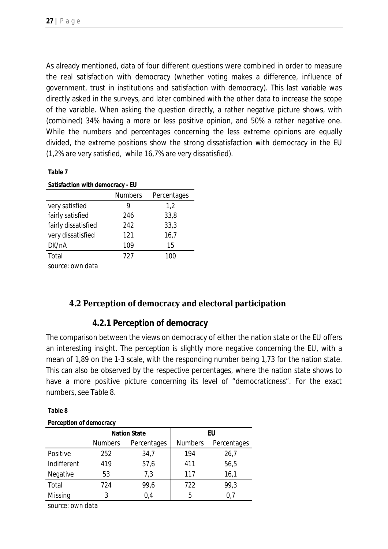As already mentioned, data of four different questions were combined in order to measure the real satisfaction with democracy (whether voting makes a difference, influence of government, trust in institutions and satisfaction with democracy). This last variable was directly asked in the surveys, and later combined with the other data to increase the scope of the variable. When asking the question directly, a rather negative picture shows, with (combined) 34% having a more or less positive opinion, and 50% a rather negative one. While the numbers and percentages concerning the less extreme opinions are equally divided, the extreme positions show the strong dissatisfaction with democracy in the EU (1,2% are very satisfied, while 16,7% are very dissatisfied).

### **Table 7**

| Satisfaction with democracy - EU |                |             |  |  |  |  |
|----------------------------------|----------------|-------------|--|--|--|--|
|                                  | <b>Numbers</b> | Percentages |  |  |  |  |
| very satisfied                   | 9              | 1,2         |  |  |  |  |
| fairly satisfied                 | 246            | 33,8        |  |  |  |  |
| fairly dissatisfied              | 242            | 33,3        |  |  |  |  |
| very dissatisfied                | 121            | 16,7        |  |  |  |  |
| DK/nA                            | 109            | 15          |  |  |  |  |
| Total                            | 727            | 100         |  |  |  |  |
| source: own data                 |                |             |  |  |  |  |

**4.2 Perception of democracy and electoral participation**

### **4.2.1 Perception of democracy**

The comparison between the views on democracy of either the nation state or the EU offers an interesting insight. The perception is slightly more negative concerning the EU, with a mean of 1,89 on the 1-3 scale, with the responding number being 1,73 for the nation state. This can also be observed by the respective percentages, where the nation state shows to have a more positive picture concerning its level of "democraticness". For the exact numbers, see Table 8.

### **Table 8**

### **Perception of democracy**

|             |                | <b>Nation State</b> |     | EU          |  |  |  |
|-------------|----------------|---------------------|-----|-------------|--|--|--|
|             | <b>Numbers</b> | Percentages         |     | Percentages |  |  |  |
| Positive    | 252            | 34,7                | 194 | 26,7        |  |  |  |
| Indifferent | 419            | 57,6                | 411 | 56,5        |  |  |  |
| Negative    | 53             | 7,3                 | 117 | 16,1        |  |  |  |
| Total       | 724            | 99,6                | 722 | 99,3        |  |  |  |
| Missing     | 3              | 0,4                 | 5   | 0.7         |  |  |  |
|             |                |                     |     |             |  |  |  |

*source: own data*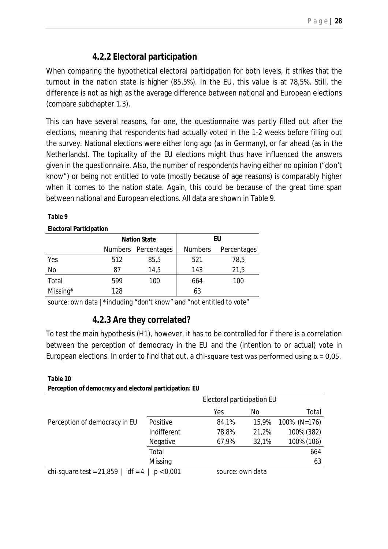# **4.2.2 Electoral participation**

When comparing the hypothetical electoral participation for both levels, it strikes that the turnout in the nation state is higher (85,5%). In the EU, this value is at 78,5%. Still, the difference is not as high as the average difference between national and European elections (compare subchapter 1.3).

This can have several reasons, for one, the questionnaire was partly filled out after the elections, meaning that respondents *had* actually voted in the 1-2 weeks before filling out the survey. National elections were either long ago (as in Germany), or far ahead (as in the Netherlands). The topicality of the EU elections might thus have influenced the answers given in the questionnaire. Also, the number of respondents having either no opinion ("don't know") or being not entitled to vote (mostly because of age reasons) is comparably higher when it comes to the nation state. Again, this could be because of the great time span between national and European elections. All data are shown in Table 9.

### **Table 9**

### **Electoral Participation**

|             |     | <b>Nation State</b> | EU  |             |  |
|-------------|-----|---------------------|-----|-------------|--|
|             |     | Numbers Percentages |     | Percentages |  |
| Yes         | 512 | 85,5                | 521 | 78,5        |  |
| No          | 87  | 14,5                | 143 | 21,5        |  |
| Total       | 599 | 100                 | 664 | 100         |  |
| Missing $*$ | 128 |                     | 63  |             |  |
|             |     |                     |     |             |  |

*source: own data |\*including "don't know" and "not entitled to vote"*

### **4.2.3 Are they correlated?**

To test the main hypothesis (H1), however, it has to be controlled for if there is a correlation between the perception of democracy in the EU and the (intention to or actual) vote in European elections. In order to find that out, a chi-square test was performed using α = 0,05.

### **Table 10 Perception of democracy and electoral participation: EU**

|                                     |             | Electoral participation EU |       |              |
|-------------------------------------|-------------|----------------------------|-------|--------------|
|                                     |             | Yes                        | No    | Total        |
| Perception of democracy in EU       | Positive    | 84,1%                      | 15,9% | 100% (N=176) |
|                                     | Indifferent | 78,8%                      | 21,2% | 100% (382)   |
|                                     | Negative    | 67,9%                      | 32,1% | 100% (106)   |
|                                     | Total       |                            |       | 664          |
|                                     | Missing     |                            |       | 63           |
| chi-square test = $21,859$   df = 4 | p < 0.001   | source: own data           |       |              |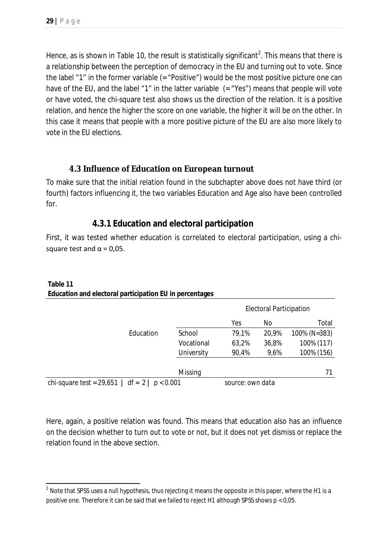Hence, as is shown in Table 10, the result is statistically significant<sup>2</sup>. This means that there is a relationship between the perception of democracy in the EU and turning out to vote. Since the label "1" in the former variable (= "Positive") would be the most positive picture one can have of the EU, and the label "1" in the latter variable  $($  = "Yes") means that people will vote or have voted, the chi-square test also shows us the direction of the relation. It is a positive relation, and hence the higher the score on one variable, the higher it will be on the other. In this case it means that *people with a more positive picture of the EU are also more likely to vote in the EU elections.*

### **4.3 Influence of Education on European turnout**

To make sure that the initial relation found in the subchapter above does not have third (or fourth) factors influencing it, the two variables Education and Age also have been controlled for.

### **4.3.1 Education and electoral participation**

First, it was tested whether education is correlated to electoral participation, using a chisquare test and  $\alpha$  = 0,05.

|                                                     |            | <b>Electoral Participation</b> |       |              |
|-----------------------------------------------------|------------|--------------------------------|-------|--------------|
|                                                     |            | Yes                            | No    | Total        |
| Education                                           | School     | 79,1%                          | 20,9% | 100% (N=383) |
|                                                     | Vocational | 63,2%                          | 36,8% | 100% (117)   |
|                                                     | University | 90,4%                          | 9,6%  | 100% (156)   |
|                                                     |            |                                |       |              |
|                                                     | Missing    |                                |       | 71           |
| chi-square test = $29,651$   df = $2$   $p < 0.001$ |            | source: own data               |       |              |

### **Table 11 Education and electoral participation EU in percentages**

Here, again, a positive relation was found. This means that education also has an influence on the decision whether to turn out to vote or not, but it does not yet dismiss or replace the relation found in the above section.

 $\ddot{\phantom{a}}$  $^{\text{2}}$  Note that SPSS uses a null hypothesis, thus rejecting it means the opposite in this paper, where the H1 is a positive one. Therefore it can be said that we failed to reject H1 although SPSS shows p < 0,05.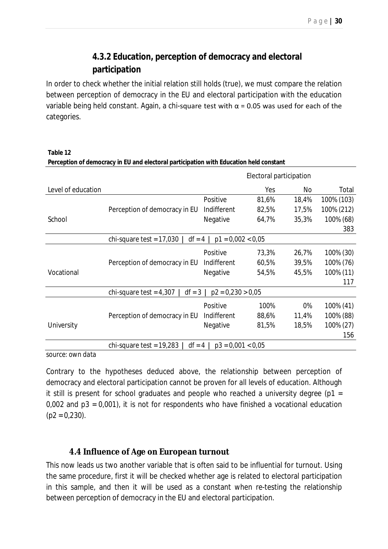# **4.3.2 Education, perception of democracy and electoral participation**

In order to check whether the initial relation still holds (true), we must compare the relation between perception of democracy in the EU and electoral participation with the education variable being held constant. Again, a chi-square test with  $\alpha$  = 0.05 was used for each of the categories.

**Table 12 Perception of democracy in EU and electoral participation with Education held constant**

|                    | Electoral participation                |                     |       |       |            |
|--------------------|----------------------------------------|---------------------|-------|-------|------------|
| Level of education |                                        |                     | Yes   | No    | Total      |
|                    |                                        | Positive            | 81,6% | 18,4% | 100% (103) |
|                    | Perception of democracy in EU          | Indifferent         | 82,5% | 17,5% | 100% (212) |
| School             |                                        | Negative            | 64,7% | 35,3% | 100% (68)  |
|                    |                                        |                     |       |       | 383        |
|                    | $df = 4$<br>chi-square test = $17,030$ | $p1 = 0,002 < 0,05$ |       |       |            |
|                    |                                        | Positive            | 73,3% | 26,7% | 100% (30)  |
|                    | Perception of democracy in EU          | Indifferent         | 60,5% | 39,5% | 100% (76)  |
| Vocational         |                                        | Negative            | 54,5% | 45,5% | 100% (11)  |
|                    |                                        |                     |       |       | 117        |
|                    | $df = 3$<br>chi-square test = $4,307$  | $p2 = 0.230 > 0.05$ |       |       |            |
|                    |                                        | Positive            | 100%  | 0%    | 100% (41)  |
|                    | Perception of democracy in EU          | Indifferent         | 88,6% | 11,4% | 100% (88)  |
| University         |                                        | Negative            | 81,5% | 18,5% | 100% (27)  |
|                    |                                        |                     |       |       | 156        |
|                    | $df = 4$<br>chi-square test = $19,283$ | $p3 = 0,001 < 0,05$ |       |       |            |

*source: own data*

Contrary to the hypotheses deduced above, the relationship between perception of democracy and electoral participation cannot be proven for all levels of education. Although it still is present for school graduates and people who reached a university degree ( $p1 =$ 0,002 and p3 = 0,001), it is not for respondents who have finished a vocational education  $(p2 = 0.230)$ .

### **4.4 Influence of Age on European turnout**

This now leads us two another variable that is often said to be influential for turnout. Using the same procedure, first it will be checked whether age is related to electoral participation in this sample, and then it will be used as a constant when re-testing the relationship between perception of democracy in the EU and electoral participation.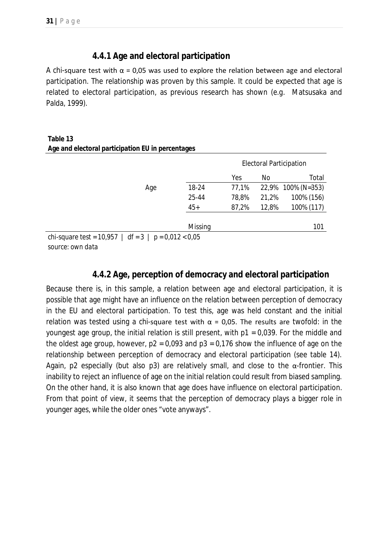### **4.4.1 Age and electoral participation**

A chi-square test with  $\alpha$  = 0,05 was used to explore the relation between age and electoral participation. The relationship was proven by this sample. It could be expected that age is related to electoral participation, as previous research has shown (*e.g.* Matsusaka and Palda, 1999).

| Table 13                                                   |     |         |       |       |                                |
|------------------------------------------------------------|-----|---------|-------|-------|--------------------------------|
| Age and electoral participation EU in percentages          |     |         |       |       |                                |
|                                                            |     |         |       |       | <b>Electoral Participation</b> |
|                                                            |     |         | Yes   | No    | Total                          |
|                                                            | Age | 18-24   | 77,1% | 22,9% | $100\%$ (N=353)                |
|                                                            |     | 25-44   | 78,8% | 21,2% | 100% (156)                     |
|                                                            |     | $45+$   | 87,2% | 12,8% | 100% (117)                     |
|                                                            |     | Missing |       |       | 101                            |
| chi-square test = $10,957$   df = $3$   p = $0,012 < 0,05$ |     |         |       |       |                                |
| source: own data                                           |     |         |       |       |                                |

### **4.4.2 Age, perception of democracy and electoral participation**

Because there is, in this sample, a relation between age and electoral participation, it is possible that age might have an influence on the relation between perception of democracy in the EU and electoral participation. To test this, age was held constant and the initial relation was tested using a chi-square test with  $\alpha$  = 0,05. The results are twofold: in the youngest age group, the initial relation is still present, with p1 = 0,039. For the middle and the oldest age group, however,  $p2 = 0.093$  and  $p3 = 0.176$  show the influence of age on the relationship between perception of democracy and electoral participation (see table 14). Again, p2 especially (but also p3) are relatively small, and close to the  $\alpha$ -frontier. This inability to reject an influence of age on the initial relation could result from biased sampling. On the other hand, it is also known that age does have influence on electoral participation. From that point of view, it seems that the perception of democracy plays a bigger role in younger ages, while the older ones "vote anyways".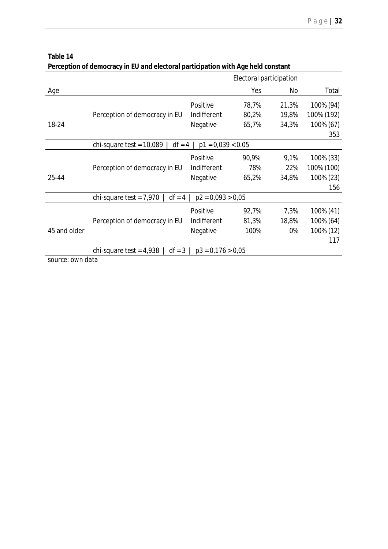| Table 14 |  |
|----------|--|
|----------|--|

| Perception of democracy in EU and electoral participation with Age held constant |  |  |
|----------------------------------------------------------------------------------|--|--|
|                                                                                  |  |  |
|                                                                                  |  |  |

|              |                                        | Electoral participation |       |       |            |
|--------------|----------------------------------------|-------------------------|-------|-------|------------|
| Age          |                                        |                         | Yes   | No    | Total      |
|              |                                        | Positive                | 78,7% | 21,3% | 100% (94)  |
|              | Perception of democracy in EU          | Indifferent             | 80,2% | 19,8% | 100% (192) |
| 18-24        |                                        | Negative                | 65,7% | 34,3% | 100% (67)  |
|              |                                        |                         |       |       | 353        |
|              | chi-square test = $10,089$<br>$df = 4$ | $p1 = 0.039 < 0.05$     |       |       |            |
|              |                                        | Positive                | 90,9% | 9,1%  | 100% (33)  |
|              | Perception of democracy in EU          | Indifferent             | 78%   | 22%   | 100% (100) |
| 25-44        |                                        | Negative                | 65,2% | 34,8% | 100% (23)  |
|              |                                        |                         |       |       | 156        |
|              | $df = 4$<br>chi-square test = $7,970$  | $p2 = 0.093 > 0.05$     |       |       |            |
|              |                                        | Positive                | 92,7% | 7,3%  | 100% (41)  |
|              | Perception of democracy in EU          | Indifferent             | 81,3% | 18,8% | 100% (64)  |
| 45 and older |                                        | Negative                | 100%  | 0%    | 100% (12)  |
|              |                                        |                         |       |       | 117        |
|              | $df = 3$<br>chi-square test = $4,938$  | $p3 = 0.176 > 0.05$     |       |       |            |

*source: own data*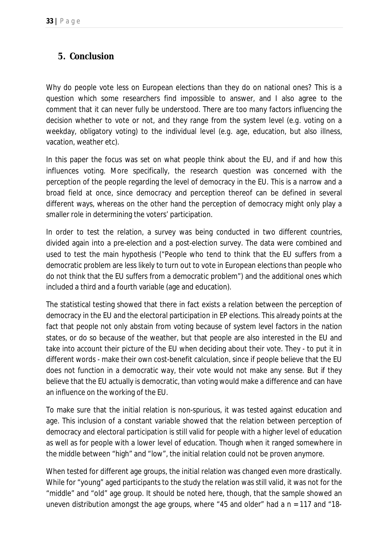# *5. Conclusion*

Why do people vote less on European elections than they do on national ones? This is a question which some researchers find impossible to answer, and I also agree to the comment that it can never fully be understood. There are too many factors influencing the decision whether to vote or not, and they range from the system level (*e.g.* voting on a weekday, obligatory voting) to the individual level (*e.g.* age, education, but also illness, vacation, weather etc).

In this paper the focus was set on what people think about the EU, and if and how this influences voting. More specifically, the research question was concerned with the perception of the people regarding the level of democracy in the EU. This is a narrow and a broad field at once, since democracy and perception thereof can be defined in several different ways, whereas on the other hand the perception of democracy might only play a smaller role in determining the voters' participation.

In order to test the relation, a survey was being conducted in two different countries, divided again into a pre-election and a post-election survey. The data were combined and used to test the main hypothesis ("People who tend to think that the EU suffers from a democratic problem are less likely to turn out to vote in European elections than people who do not think that the EU suffers from a democratic problem") and the additional ones which included a third and a fourth variable (age and education).

The statistical testing showed that there in fact exists a relation between the perception of democracy in the EU and the electoral participation in EP elections. This already points at the fact that people not only abstain from voting because of system level factors in the nation states, or do so because of the weather, but that people are also interested in the EU and take into account their picture of the EU when deciding about their vote. They - to put it in different words - make their own cost-benefit calculation, since if people believe that the EU does not function in a democratic way, their vote would not make any sense. But if they believe that the EU actually is democratic, than voting would make a difference and can have an influence on the working of the EU.

To make sure that the initial relation is non-spurious, it was tested against education and age. This inclusion of a constant variable showed that the relation between perception of democracy and electoral participation is still valid for people with a higher level of education as well as for people with a lower level of education. Though when it ranged somewhere in the middle between "high" and "low", the initial relation could not be proven anymore.

When tested for different age groups, the initial relation was changed even more drastically. While for "young" aged participants to the study the relation was still valid, it was not for the "middle" and "old" age group. It should be noted here, though, that the sample showed an uneven distribution amongst the age groups, where "45 and older" had a n = 117 and "18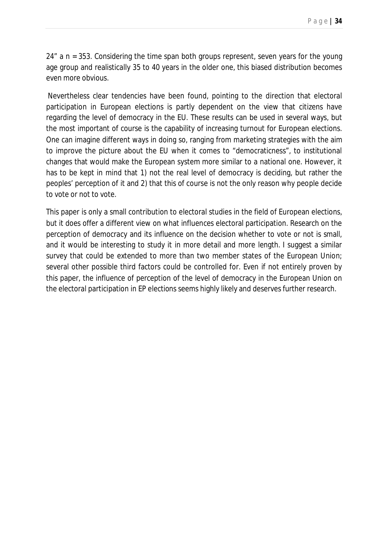24" a n = 353. Considering the time span both groups represent, seven years for the young age group and realistically 35 to 40 years in the older one, this biased distribution becomes even more obvious.

Nevertheless clear tendencies have been found, pointing to the direction that electoral participation in European elections is partly dependent on the view that citizens have regarding the level of democracy in the EU. These results can be used in several ways, but the most important of course is the capability of increasing turnout for European elections. One can imagine different ways in doing so, ranging from marketing strategies with the aim to improve the picture about the EU when it comes to "democraticness", to institutional changes that would make the European system more similar to a national one. However, it has to be kept in mind that 1) not the real level of democracy is deciding, but rather the peoples' perception of it and 2) that this of course is not the only reason why people decide to vote or not to vote.

This paper is only a small contribution to electoral studies in the field of European elections, but it does offer a different view on what influences electoral participation. Research on the perception of democracy and its influence on the decision whether to vote or not is small, and it would be interesting to study it in more detail and more length. I suggest a similar survey that could be extended to more than two member states of the European Union; several other possible third factors could be controlled for. Even if not entirely proven by this paper, the influence of perception of the level of democracy in the European Union on the electoral participation in EP elections seems highly likely and deserves further research.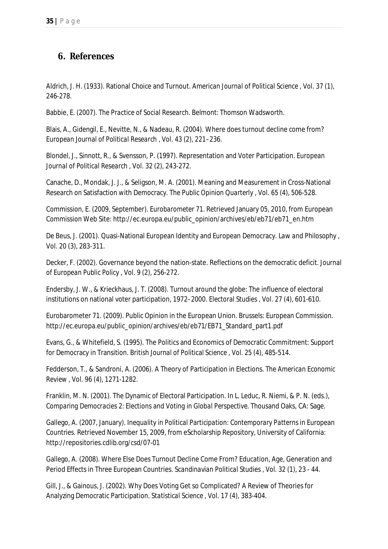# *6. References*

Aldrich, J. H. (1933). Rational Choice and Turnout. *American Journal of Political Science , Vol. 37* (1), 246-278.

Babbie, E. (2007). *The Practice of Social Research.* Belmont: Thomson Wadsworth.

Blais, A., Gidengil, E., Nevitte, N., & Nadeau, R. (2004). Where does turnout decline come from? *European Journal of Political Research , Vol. 43* (2), 221–236.

Blondel, J., Sinnott, R., & Svensson, P. (1997). Representation and Voter Participation. *European Journal of Political Research , Vol. 32* (2), 243-272.

Canache, D., Mondak, J. J., & Seligson, M. A. (2001). Meaning and Measurement in Cross-National Research on Satisfaction with Democracy. *The Public Opinion Quarterly , Vol. 65* (4), 506-528.

Commission, E. (2009, September). *Eurobarometer 71.* Retrieved January 05, 2010, from European Commission Web Site: http://ec.europa.eu/public\_opinion/archives/eb/eb71/eb71\_en.htm

De Beus, J. (2001). Quasi-National European Identity and European Democracy. *Law and Philosophy , Vol. 20* (3), 283-311.

Decker, F. (2002). Governance beyond the nation-state. Reflections on the democratic deficit. *Journal of European Public Policy , Vol. 9* (2), 256-272.

Endersby, J. W., & Krieckhaus, J. T. (2008). Turnout around the globe: The influence of electoral institutions on national voter participation, 1972–2000. *Electoral Studies , Vol. 27* (4), 601-610.

Eurobarometer 71. (2009). Public Opinion in the European Union. Brussels: European Commission. http://ec.europa.eu/public\_opinion/archives/eb/eb71/EB71\_Standard\_part1.pdf

Evans, G., & Whitefield, S. (1995). The Politics and Economics of Democratic Commitment: Support for Democracy in Transition. *British Journal of Political Science , Vol. 25* (4), 485-514.

Fedderson, T., & Sandroni, A. (2006). A Theory of Participation in Elections. *The American Economic Review , Vol. 96* (4), 1271-1282.

Franklin, M. N. (2001). The Dynamic of Electoral Participation. In L. Leduc, R. Niemi, & P. N. (eds.), *Comparing Democracies 2: Elections and Voting in Global Perspective.* Thousand Oaks, CA: Sage.

Gallego, A. (2007, January). *Inequality in Political Participation: Contemporary Patterns in European Countries.* Retrieved November 15, 2009, from eScholarship Repository, University of California: http://repositories.cdlib.org/csd/07-01

Gallego, A. (2008). Where Else Does Turnout Decline Come From? Education, Age, Generation and Period Effects in Three European Countries. *Scandinavian Political Studies , Vol. 32* (1), 23 - 44.

Gill, J., & Gainous, J. (2002). Why Does Voting Get so Complicated? A Review of Theories for Analyzing Democratic Participation. *Statistical Science , Vol. 17* (4), 383-404.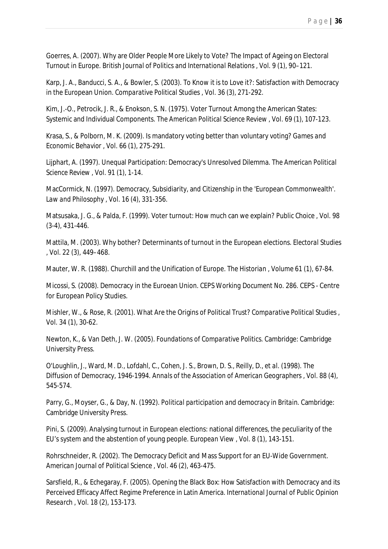Goerres, A. (2007). Why are Older People More Likely to Vote? The Impact of Ageing on Electoral Turnout in Europe. *British Journal of Politics and International Relations , Vol. 9* (1), 90–121.

Karp, J. A., Banducci, S. A., & Bowler, S. (2003). To Know it is to Love it?: Satisfaction with Democracy in the European Union. *Comparative Political Studies , Vol. 36* (3), 271-292.

Kim, J.-O., Petrocik, J. R., & Enokson, S. N. (1975). Voter Turnout Among the American States: Systemic and Individual Components. *The American Political Science Review , Vol. 69* (1), 107-123.

Krasa, S., & Polborn, M. K. (2009). Is mandatory voting better than voluntary voting? *Games and Economic Behavior , Vol. 66* (1), 275-291.

Lijphart, A. (1997). Unequal Participation: Democracy's Unresolved Dilemma. *The American Political Science Review , Vol. 91* (1), 1-14.

MacCormick, N. (1997). Democracy, Subsidiarity, and Citizenship in the 'European Commonwealth'. *Law and Philosophy , Vol. 16* (4), 331-356.

Matsusaka, J. G., & Palda, F. (1999). Voter turnout: How much can we explain? *Public Choice , Vol. 98* (3-4), 431-446.

Mattila, M. (2003). Why bother? Determinants of turnout in the European elections. *Electoral Studies , Vol. 22* (3), 449–468.

Mauter, W. R. (1988). Churchill and the Unification of Europe. *The Historian , Volume 61* (1), 67-84.

Micossi, S. (2008). Democracy in the Euroean Union. *CEPS Working Document No. 286.* CEPS - Centre for European Policy Studies.

Mishler, W., & Rose, R. (2001). What Are the Origins of Political Trust? *Comparative Political Studies , Vol. 34* (1), 30-62.

Newton, K., & Van Deth, J. W. (2005). *Foundations of Comparative Politics.* Cambridge: Cambridge University Press.

O'Loughlin, J., Ward, M. D., Lofdahl, C., Cohen, J. S., Brown, D. S., Reilly, D., *et al*. (1998). The Diffusion of Democracy, 1946-1994. *Annals of the Association of American Geographers , Vol. 88* (4), 545-574.

Parry, G., Moyser, G., & Day, N. (1992). *Political participation and democracy in Britain.* Cambridge: Cambridge University Press.

Pini, S. (2009). Analysing turnout in European elections: national differences, the peculiarity of the EU's system and the abstention of young people. *European View , Vol. 8* (1), 143-151.

Rohrschneider, R. (2002). The Democracy Deficit and Mass Support for an EU-Wide Government. *American Journal of Political Science , Vol. 46* (2), 463-475.

Sarsfield, R., & Echegaray, F. (2005). Opening the Black Box: How Satisfaction with Democracy and its Perceived Efficacy Affect Regime Preference in Latin America. *International Journal of Public Opinion Research , Vol. 18* (2), 153-173.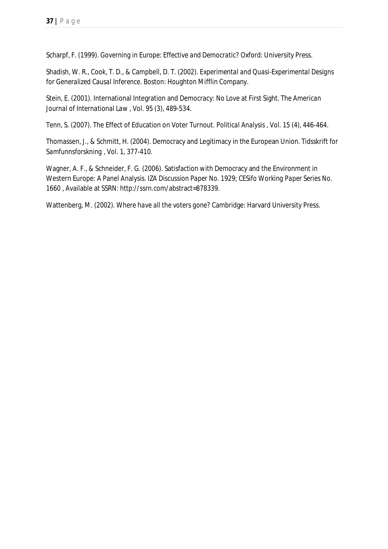Scharpf, F. (1999). *Governing in Europe: Effective and Democratic?* Oxford: University Press.

Shadish, W. R., Cook, T. D., & Campbell, D. T. (2002). *Experimental and Quasi-Experimental Designs for Generalized Causal Inference.* Boston: Houghton Mifflin Company.

Stein, E. (2001). International Integration and Democracy: No Love at First Sight. *The American Journal of International Law , Vol. 95* (3), 489-534.

Tenn, S. (2007). The Effect of Education on Voter Turnout. *Political Analysis , Vol. 15* (4), 446-464.

Thomassen, J., & Schmitt, H. (2004). Democracy and Legitimacy in the European Union. *Tidsskrift for Samfunnsforskning , Vol. 1*, 377-410.

Wagner, A. F., & Schneider, F. G. (2006). Satisfaction with Democracy and the Environment in Western Europe: A Panel Analysis. *IZA Discussion Paper No. 1929; CESifo Working Paper Series No. 1660* , Available at SSRN: http://ssrn.com/abstract=878339.

Wattenberg, M. (2002). *Where have all the voters gone?* Cambridge: Harvard University Press.